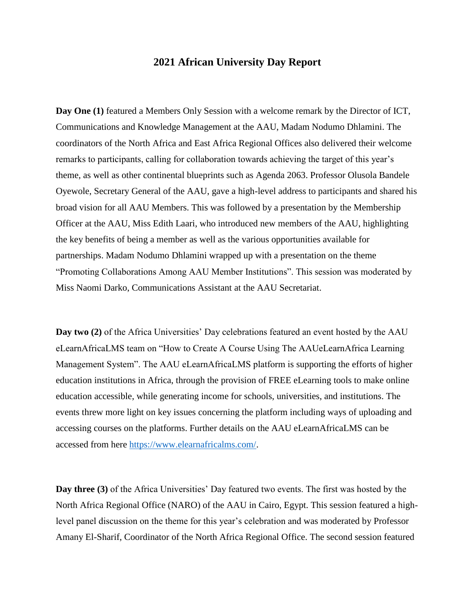## **2021 African University Day Report**

**Day One (1)** featured a Members Only Session with a welcome remark by the Director of ICT, Communications and Knowledge Management at the AAU, Madam Nodumo Dhlamini. The coordinators of the North Africa and East Africa Regional Offices also delivered their welcome remarks to participants, calling for collaboration towards achieving the target of this year's theme, as well as other continental blueprints such as Agenda 2063. Professor Olusola Bandele Oyewole, Secretary General of the AAU, gave a high-level address to participants and shared his broad vision for all AAU Members. This was followed by a presentation by the Membership Officer at the AAU, Miss Edith Laari, who introduced new members of the AAU, highlighting the key benefits of being a member as well as the various opportunities available for partnerships. Madam Nodumo Dhlamini wrapped up with a presentation on the theme "Promoting Collaborations Among AAU Member Institutions". This session was moderated by Miss Naomi Darko, Communications Assistant at the AAU Secretariat.

**Day two (2)** of the Africa Universities' Day celebrations featured an event hosted by the AAU eLearnAfricaLMS team on "How to Create A Course Using The AAUeLearnAfrica Learning Management System". The AAU eLearnAfricaLMS platform is supporting the efforts of higher education institutions in Africa, through the provision of FREE eLearning tools to make online education accessible, while generating income for schools, universities, and institutions. The events threw more light on key issues concerning the platform including ways of uploading and accessing courses on the platforms. Further details on the AAU eLearnAfricaLMS can be accessed from here [https://www.elearnafricalms.com/.](https://www.elearnafricalms.com/)

**Day three (3)** of the Africa Universities' Day featured two events. The first was hosted by the North Africa Regional Office (NARO) of the AAU in Cairo, Egypt. This session featured a highlevel panel discussion on the theme for this year's celebration and was moderated by Professor Amany El-Sharif, Coordinator of the North Africa Regional Office. The second session featured